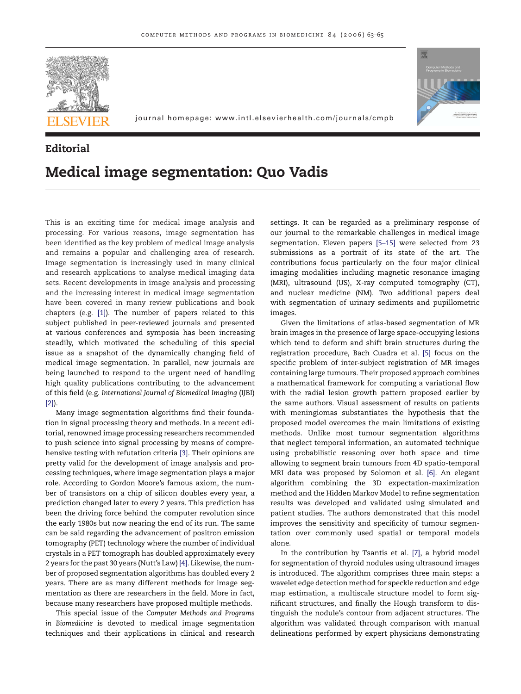

journal homepage: www.intl.elsevierhealth.com/journals/cmpb



## **Editorial Medical image segmentation: Quo Vadis**

This is an exciting time for medical image analysis and processing. For various reasons, image segmentation has been identified as the key problem of medical image analysis and remains a popular and challenging area of research. Image segmentation is increasingly used in many clinical and research applications to analyse medical imaging data sets. Recent developments in image analysis and processing and the increasing interest in medical image segmentation have been covered in many review publications and book chapters (e.g. [\[1\]\).](#page-2-0) The number of papers related to this subject published in peer-reviewed journals and presented at various conferences and symposia has been increasing steadily, which motivated the scheduling of this special issue as a snapshot of the dynamically changing field of medical image segmentation. In parallel, new journals are being launched to respond to the urgent need of handling high quality publications contributing to the advancement of this field (e.g. *International Journal of Biomedical Imaging* (IJBI) [\[2\]\).](#page-2-0)

Many image segmentation algorithms find their foundation in signal processing theory and methods. In a recent editorial, renowned image processing researchers recommended to push science into signal processing by means of comprehensive testing with refutation criteria [\[3\]. T](#page-2-0)heir opinions are pretty valid for the development of image analysis and processing techniques, where image segmentation plays a major role. According to Gordon Moore's famous axiom, the number of transistors on a chip of silicon doubles every year, a prediction changed later to every 2 years. This prediction has been the driving force behind the computer revolution since the early 1980s but now nearing the end of its run. The same can be said regarding the advancement of positron emission tomography (PET) technology where the number of individual crystals in a PET tomograph has doubled approximately every 2 years for the past 30 years (Nutt's Law) [\[4\]. L](#page-2-0)ikewise, the number of proposed segmentation algorithms has doubled every 2 years. There are as many different methods for image segmentation as there are researchers in the field. More in fact, because many researchers have proposed multiple methods.

This special issue of the *Computer Methods and Programs in Biomedicine* is devoted to medical image segmentation techniques and their applications in clinical and research

settings. It can be regarded as a preliminary response of our journal to the remarkable challenges in medical image segmentation. Eleven papers [\[5–15\]](#page-2-0) were selected from 23 submissions as a portrait of its state of the art. The contributions focus particularly on the four major clinical imaging modalities including magnetic resonance imaging (MRI), ultrasound (US), X-ray computed tomography (CT), and nuclear medicine (NM). Two additional papers deal with segmentation of urinary sediments and pupillometric images.

Given the limitations of atlas-based segmentation of MR brain images in the presence of large space-occupying lesions which tend to deform and shift brain structures during the registration procedure, Bach Cuadra et al. [\[5\]](#page-2-0) focus on the specific problem of inter-subject registration of MR images containing large tumours. Their proposed approach combines a mathematical framework for computing a variational flow with the radial lesion growth pattern proposed earlier by the same authors. Visual assessment of results on patients with meningiomas substantiates the hypothesis that the proposed model overcomes the main limitations of existing methods. Unlike most tumour segmentation algorithms that neglect temporal information, an automated technique using probabilistic reasoning over both space and time allowing to segment brain tumours from 4D spatio-temporal MRI data was proposed by Solomon et al. [\[6\].](#page-2-0) An elegant algorithm combining the 3D expectation-maximization method and the Hidden Markov Model to refine segmentation results was developed and validated using simulated and patient studies. The authors demonstrated that this model improves the sensitivity and specificity of tumour segmentation over commonly used spatial or temporal models alone.

In the contribution by Tsantis et al. [\[7\],](#page-2-0) a hybrid model for segmentation of thyroid nodules using ultrasound images is introduced. The algorithm comprises three main steps: a wavelet edge detection method for speckle reduction and edge map estimation, a multiscale structure model to form significant structures, and finally the Hough transform to distinguish the nodule's contour from adjacent structures. The algorithm was validated through comparison with manual delineations performed by expert physicians demonstrating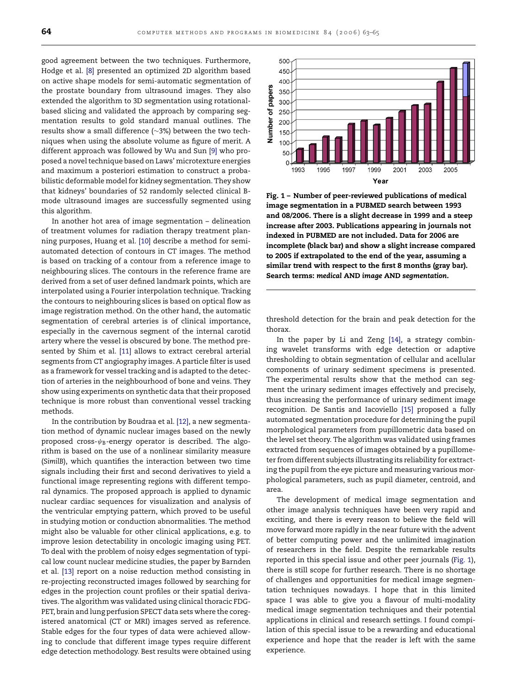good agreement between the two techniques. Furthermore, Hodge et al. [\[8\]](#page-2-0) presented an optimized 2D algorithm based on active shape models for semi-automatic segmentation of the prostate boundary from ultrasound images. They also extended the algorithm to 3D segmentation using rotationalbased slicing and validated the approach by comparing segmentation results to gold standard manual outlines. The results show a small difference (∼3%) between the two techniques when using the absolute volume as figure of merit. A different approach was followed by Wu and Sun [\[9\]](#page-2-0) who proposed a novel technique based on Laws' microtexture energies and maximum a posteriori estimation to construct a probabilistic deformable model for kidney segmentation. They show that kidneys' boundaries of 52 randomly selected clinical Bmode ultrasound images are successfully segmented using this algorithm.

In another hot area of image segmentation – delineation of treatment volumes for radiation therapy treatment planning purposes, Huang et al. [\[10\]](#page-2-0) describe a method for semiautomated detection of contours in CT images. The method is based on tracking of a contour from a reference image to neighbouring slices. The contours in the reference frame are derived from a set of user defined landmark points, which are interpolated using a Fourier interpolation technique. Tracking the contours to neighbouring slices is based on optical flow as image registration method. On the other hand, the automatic segmentation of cerebral arteries is of clinical importance, especially in the cavernous segment of the internal carotid artery where the vessel is obscured by bone. The method presented by Shim et al. [\[11\]](#page-2-0) allows to extract cerebral arterial segments from CT angiography images. A particle filter is used as a framework for vessel tracking and is adapted to the detection of arteries in the neighbourhood of bone and veins. They show using experiments on synthetic data that their proposed technique is more robust than conventional vessel tracking methods.

In the contribution by Boudraa et al. [\[12\], a](#page-2-0) new segmentation method of dynamic nuclear images based on the newly proposed cross- $\psi_B$ -energy operator is described. The algorithm is based on the use of a nonlinear similarity measure (*SimilB*), which quantifies the interaction between two time signals including their first and second derivatives to yield a functional image representing regions with different temporal dynamics. The proposed approach is applied to dynamic nuclear cardiac sequences for visualization and analysis of the ventricular emptying pattern, which proved to be useful in studying motion or conduction abnormalities. The method might also be valuable for other clinical applications, e.g. to improve lesion detectability in oncologic imaging using PET. To deal with the problem of noisy edges segmentation of typical low count nuclear medicine studies, the paper by Barnden et al. [\[13\]](#page-2-0) report on a noise reduction method consisting in re-projecting reconstructed images followed by searching for edges in the projection count profiles or their spatial derivatives. The algorithm was validated using clinical thoracic FDG-PET, brain and lung perfusion SPECT data sets where the coregistered anatomical (CT or MRI) images served as reference. Stable edges for the four types of data were achieved allowing to conclude that different image types require different edge detection methodology. Best results were obtained using



**Fig. 1 – Number of peer-reviewed publications of medical image segmentation in a PUBMED search between 1993 and 08/2006. There is a slight decrease in 1999 and a steep increase after 2003. Publications appearing in journals not indexed in PUBMED are not included. Data for 2006 are incomplete (black bar) and show a slight increase compared to 2005 if extrapolated to the end of the year, assuming a similar trend with respect to the first 8 months (gray bar). Search terms:** *medical* **AND** *image* **AND** *segmentation***.**

threshold detection for the brain and peak detection for the thorax.

In the paper by Li and Zeng [\[14\],](#page-2-0) a strategy combining wavelet transforms with edge detection or adaptive thresholding to obtain segmentation of cellular and acellular components of urinary sediment specimens is presented. The experimental results show that the method can segment the urinary sediment images effectively and precisely, thus increasing the performance of urinary sediment image recognition. De Santis and Iacoviello [\[15\]](#page-2-0) proposed a fully automated segmentation procedure for determining the pupil morphological parameters from pupillometric data based on the level set theory. The algorithm was validated using frames extracted from sequences of images obtained by a pupillometer from different subjects illustrating its reliability for extracting the pupil from the eye picture and measuring various morphological parameters, such as pupil diameter, centroid, and area.

The development of medical image segmentation and other image analysis techniques have been very rapid and exciting, and there is every reason to believe the field will move forward more rapidly in the near future with the advent of better computing power and the unlimited imagination of researchers in the field. Despite the remarkable results reported in this special issue and other peer journals (Fig. 1), there is still scope for further research. There is no shortage of challenges and opportunities for medical image segmentation techniques nowadays. I hope that in this limited space I was able to give you a flavour of multi-modality medical image segmentation techniques and their potential applications in clinical and research settings. I found compilation of this special issue to be a rewarding and educational experience and hope that the reader is left with the same experience.